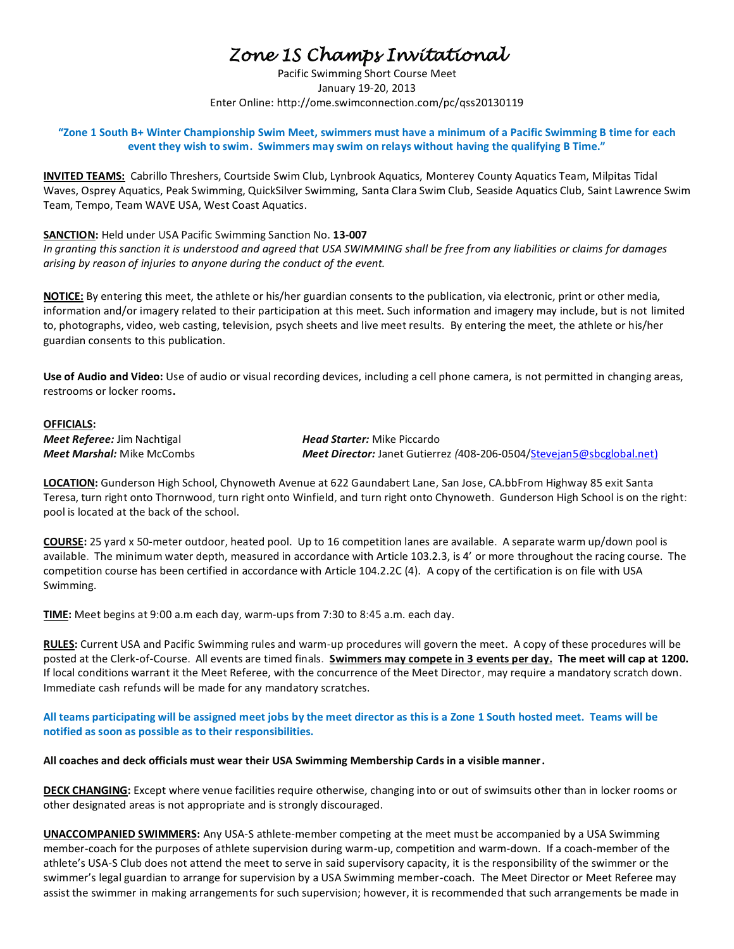# *Zone 1S Champs Invitational*

Pacific Swimming Short Course Meet January 19-20, 2013 Enter Online: http://ome.swimconnection.com/pc/qss20130119

**"Zone 1 South B+ Winter Championship Swim Meet, swimmers must have a minimum of a Pacific Swimming B time for each event they wish to swim. Swimmers may swim on relays without having the qualifying B Time."**

**INVITED TEAMS:** Cabrillo Threshers, Courtside Swim Club, Lynbrook Aquatics, Monterey County Aquatics Team, Milpitas Tidal Waves, Osprey Aquatics, Peak Swimming, QuickSilver Swimming, Santa Clara Swim Club, Seaside Aquatics Club, Saint Lawrence Swim Team, Tempo, Team WAVE USA, West Coast Aquatics.

**SANCTION:** Held under USA Pacific Swimming Sanction No. **13-007**

*In granting this sanction it is understood and agreed that USA SWIMMING shall be free from any liabilities or claims for damages arising by reason of injuries to anyone during the conduct of the event.*

**NOTICE:** By entering this meet, the athlete or his/her guardian consents to the publication, via electronic, print or other media, information and/or imagery related to their participation at this meet. Such information and imagery may include, but is not limited to, photographs, video, web casting, television, psych sheets and live meet results.By entering the meet, the athlete or his/her guardian consents to this publication.

**Use of Audio and Video:** Use of audio or visual recording devices, including a cell phone camera, is not permitted in changing areas, restrooms or locker rooms**.**

#### **OFFICIALS:**

*Meet Referee:* Jim Nachtigal *Head Starter:* Mike Piccardo

*Meet Marshal:* Mike McCombs *Meet Director:* Janet Gutierrez *(*408-206-0504[/Stevejan5@sbcglobal.net\)](mailto:Stevejan5@sbcglobal.net)

**LOCATION:** Gunderson High School, Chynoweth Avenue at 622 Gaundabert Lane, San Jose, CA.bbFrom Highway 85 exit Santa Teresa, turn right onto Thornwood, turn right onto Winfield, and turn right onto Chynoweth. Gunderson High School is on the right: pool is located at the back of the school.

**COURSE:** 25 yard x 50-meter outdoor, heated pool. Up to 16 competition lanes are available. A separate warm up/down pool is available. The minimum water depth, measured in accordance with Article 103.2.3, is 4' or more throughout the racing course. The competition course has been certified in accordance with Article 104.2.2C (4). A copy of the certification is on file with USA Swimming.

**TIME:** Meet begins at 9:00 a.m each day, warm-ups from 7:30 to 8:45 a.m. each day.

**RULES:** Current USA and Pacific Swimming rules and warm-up procedures will govern the meet. A copy of these procedures will be posted at the Clerk-of-Course. All events are timed finals. **Swimmers may compete in 3 events per day. The meet will cap at 1200.** If local conditions warrant it the Meet Referee, with the concurrence of the Meet Director, may require a mandatory scratch down. Immediate cash refunds will be made for any mandatory scratches.

**All teams participating will be assigned meet jobs by the meet director as this is a Zone 1 South hosted meet. Teams will be notified as soon as possible as to their responsibilities.** 

**All coaches and deck officials must wear their USA Swimming Membership Cards in a visible manner.** 

**DECK CHANGING:** Except where venue facilities require otherwise, changing into or out of swimsuits other than in locker rooms or other designated areas is not appropriate and is strongly discouraged.

**UNACCOMPANIED SWIMMERS:** Any USA-S athlete-member competing at the meet must be accompanied by a USA Swimming member-coach for the purposes of athlete supervision during warm-up, competition and warm-down. If a coach-member of the athlete's USA-S Club does not attend the meet to serve in said supervisory capacity, it is the responsibility of the swimmer or the swimmer's legal guardian to arrange for supervision by a USA Swimming member-coach. The Meet Director or Meet Referee may assist the swimmer in making arrangements for such supervision; however, it is recommended that such arrangements be made in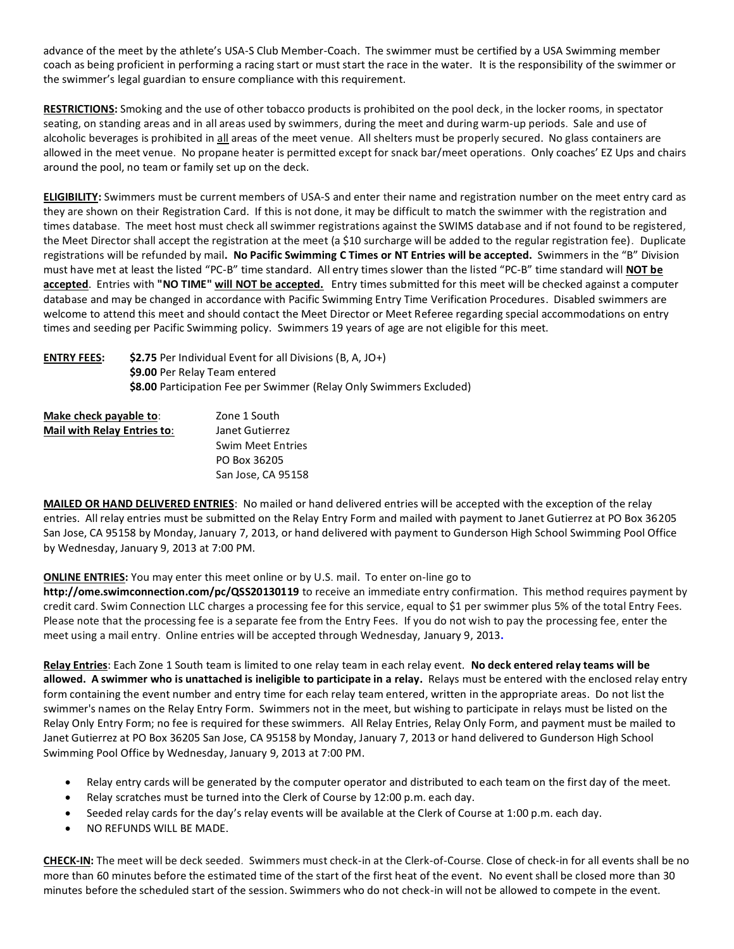advance of the meet by the athlete's USA-S Club Member-Coach. The swimmer must be certified by a USA Swimming member coach as being proficient in performing a racing start or must start the race in the water. It is the responsibility of the swimmer or the swimmer's legal guardian to ensure compliance with this requirement.

**RESTRICTIONS:** Smoking and the use of other tobacco products is prohibited on the pool deck, in the locker rooms, in spectator seating, on standing areas and in all areas used by swimmers, during the meet and during warm-up periods. Sale and use of alcoholic beverages is prohibited in all areas of the meet venue. All shelters must be properly secured. No glass containers are allowed in the meet venue. No propane heater is permitted except for snack bar/meet operations. Only coaches' EZ Ups and chairs around the pool, no team or family set up on the deck.

**ELIGIBILITY:** Swimmers must be current members of USA-S and enter their name and registration number on the meet entry card as they are shown on their Registration Card. If this is not done, it may be difficult to match the swimmer with the registration and times database. The meet host must check all swimmer registrations against the SWIMS database and if not found to be registered, the Meet Director shall accept the registration at the meet (a \$10 surcharge will be added to the regular registration fee). Duplicate registrations will be refunded by mail**. No Pacific Swimming C Times or NT Entries will be accepted.** Swimmers in the "B" Division must have met at least the listed "PC-B" time standard. All entry times slower than the listed "PC-B" time standard will **NOT be accepted**. Entries with **"NO TIME" will NOT be accepted.** Entry times submitted for this meet will be checked against a computer database and may be changed in accordance with Pacific Swimming Entry Time Verification Procedures. Disabled swimmers are welcome to attend this meet and should contact the Meet Director or Meet Referee regarding special accommodations on entry times and seeding per Pacific Swimming policy. Swimmers 19 years of age are not eligible for this meet.

## **ENTRY FEES: \$2.75** Per Individual Event for all Divisions (B, A, JO+) **\$9.00** Per Relay Team entered **\$8.00** Participation Fee per Swimmer (Relay Only Swimmers Excluded)

| Make check payable to:             | Zone 1 South             |
|------------------------------------|--------------------------|
| <b>Mail with Relay Entries to:</b> | Janet Gutierrez          |
|                                    | <b>Swim Meet Entries</b> |
|                                    | PO Box 36205             |
|                                    | San Jose, CA 95158       |

**MAILED OR HAND DELIVERED ENTRIES**: No mailed or hand delivered entries will be accepted with the exception of the relay entries. All relay entries must be submitted on the Relay Entry Form and mailed with payment to Janet Gutierrez at PO Box 36205 San Jose, CA 95158 by Monday, January 7, 2013, or hand delivered with payment to Gunderson High School Swimming Pool Office by Wednesday, January 9, 2013 at 7:00 PM.

## **ONLINE ENTRIES:** You may enter this meet online or by U.S. mail. To enter on-line go to

**http://ome.swimconnection.com/pc/QSS20130119** to receive an immediate entry confirmation. This method requires payment by credit card. Swim Connection LLC charges a processing fee for this service, equal to \$1 per swimmer plus 5% of the total Entry Fees. Please note that the processing fee is a separate fee from the Entry Fees. If you do not wish to pay the processing fee, enter the meet using a mail entry. Online entries will be accepted through Wednesday, January 9, 2013**.**

**Relay Entries**: Each Zone 1 South team is limited to one relay team in each relay event. **No deck entered relay teams will be allowed. A swimmer who is unattached is ineligible to participate in a relay.** Relays must be entered with the enclosed relay entry form containing the event number and entry time for each relay team entered, written in the appropriate areas. Do not list the swimmer's names on the Relay Entry Form. Swimmers not in the meet, but wishing to participate in relays must be listed on the Relay Only Entry Form; no fee is required for these swimmers. All Relay Entries, Relay Only Form, and payment must be mailed to Janet Gutierrez at PO Box 36205 San Jose, CA 95158 by Monday, January 7, 2013 or hand delivered to Gunderson High School Swimming Pool Office by Wednesday, January 9, 2013 at 7:00 PM.

- Relay entry cards will be generated by the computer operator and distributed to each team on the first day of the meet.
- Relay scratches must be turned into the Clerk of Course by 12:00 p.m. each day.
- Seeded relay cards for the day's relay events will be available at the Clerk of Course at 1:00 p.m. each day.
- NO REFUNDS WILL BE MADE.

**CHECK-IN:** The meet will be deck seeded. Swimmers must check-in at the Clerk-of-Course. Close of check‐in for all events shall be no more than 60 minutes before the estimated time of the start of the first heat of the event. No event shall be closed more than 30 minutes before the scheduled start of the session. Swimmers who do not check-in will not be allowed to compete in the event.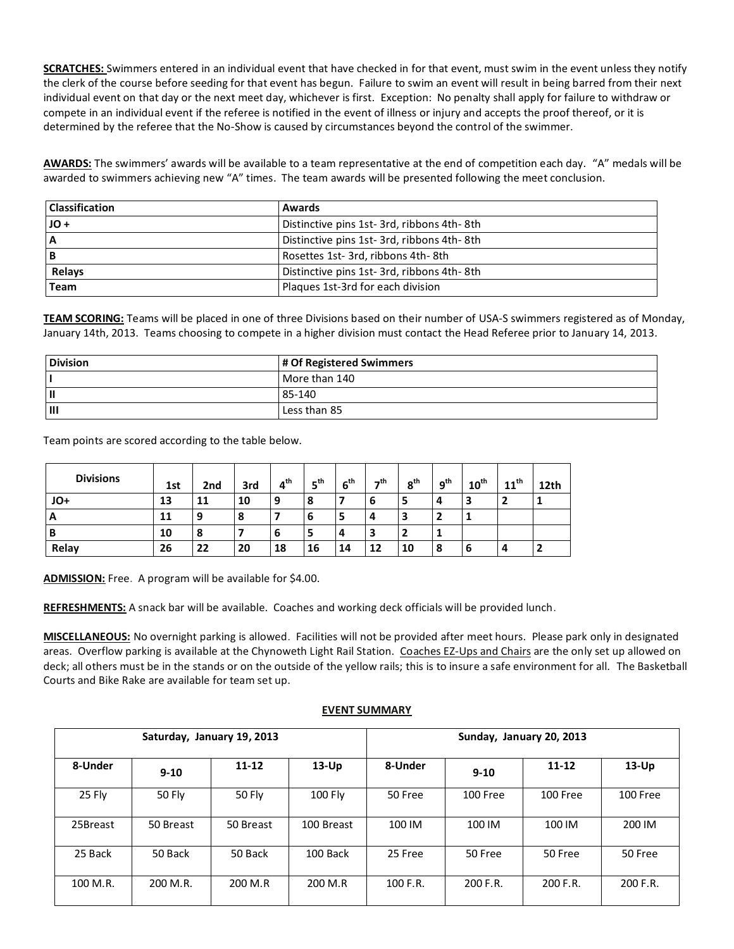**SCRATCHES:** Swimmers entered in an individual event that have checked in for that event, must swim in the event unless they notify the clerk of the course before seeding for that event has begun. Failure to swim an event will result in being barred from their next individual event on that day or the next meet day, whichever is first. Exception: No penalty shall apply for failure to withdraw or compete in an individual event if the referee is notified in the event of illness or injury and accepts the proof thereof, or it is determined by the referee that the No-Show is caused by circumstances beyond the control of the swimmer.

AWARDS: The swimmers' awards will be available to a team representative at the end of competition each day. "A" medals will be awarded to swimmers achieving new "A" times. The team awards will be presented following the meet conclusion.

| <b>Classification</b> | Awards                                    |
|-----------------------|-------------------------------------------|
| JO+                   | Distinctive pins 1st-3rd, ribbons 4th-8th |
| А                     | Distinctive pins 1st-3rd, ribbons 4th-8th |
| в                     | Rosettes 1st- 3rd, ribbons 4th-8th        |
| Relays                | Distinctive pins 1st-3rd, ribbons 4th-8th |
| Team                  | Plaques 1st-3rd for each division         |

**TEAM SCORING:** Teams will be placed in one of three Divisions based on their number of USA-S swimmers registered as of Monday, January 14th, 2013. Teams choosing to compete in a higher division must contact the Head Referee prior to January 14, 2013.

| <b>Division</b> | # Of Registered Swimmers |
|-----------------|--------------------------|
|                 | More than 140            |
|                 | 85-140                   |
| Ш               | Less than 85             |

Team points are scored according to the table below.

| <b>Divisions</b> | 1st | 2nd | 3rd    | $4^{\text{th}}$ | 5 <sup>th</sup> | 6 <sup>th</sup> | -th | 8 <sup>th</sup> | 9 <sup>th</sup> | $10^{\text{th}}$ | $11^{\text{th}}$ | 12th |
|------------------|-----|-----|--------|-----------------|-----------------|-----------------|-----|-----------------|-----------------|------------------|------------------|------|
| JO+              | 13  | 11  | 10     | 9               |                 |                 | 6   |                 | 4               | 3                |                  |      |
| A                | 11  | 9   | Ω<br>ō |                 | o               | э               | 4   |                 | <u>າ</u>        |                  |                  |      |
| В                | 10  | 8   |        | b               |                 | 4               | 3   |                 | л.              |                  |                  |      |
| Relay            | 26  | 22  | 20     | 18              | 16              | 14              | 12  | 10              | 8               | 6                | 4                | -    |

**ADMISSION:** Free. A program will be available for \$4.00.

**REFRESHMENTS:** A snack bar will be available. Coaches and working deck officials will be provided lunch.

**MISCELLANEOUS:** No overnight parking is allowed. Facilities will not be provided after meet hours. Please park only in designated areas. Overflow parking is available at the Chynoweth Light Rail Station. Coaches EZ-Ups and Chairs are the only set up allowed on deck; all others must be in the stands or on the outside of the yellow rails; this is to insure a safe environment for all. The Basketball Courts and Bike Rake are available for team set up.

## **EVENT SUMMARY**

|          |               | Saturday, January 19, 2013 |            |          |          | Sunday, January 20, 2013 |          |
|----------|---------------|----------------------------|------------|----------|----------|--------------------------|----------|
| 8-Under  | $9 - 10$      | $11 - 12$                  | $13-Up$    | 8-Under  | $9 - 10$ | $11 - 12$                | $13-Up$  |
| 25 Fly   | <b>50 Fly</b> | 50 Fly                     | 100 Fly    | 50 Free  | 100 Free | 100 Free                 | 100 Free |
| 25Breast | 50 Breast     | 50 Breast                  | 100 Breast | 100 IM   | 100 IM   | 100 IM                   | 200 IM   |
| 25 Back  | 50 Back       | 50 Back                    | 100 Back   | 25 Free  | 50 Free  | 50 Free                  | 50 Free  |
| 100 M.R. | 200 M.R.      | 200 M.R                    | 200 M.R    | 100 F.R. | 200 F.R. | 200 F.R.                 | 200 F.R. |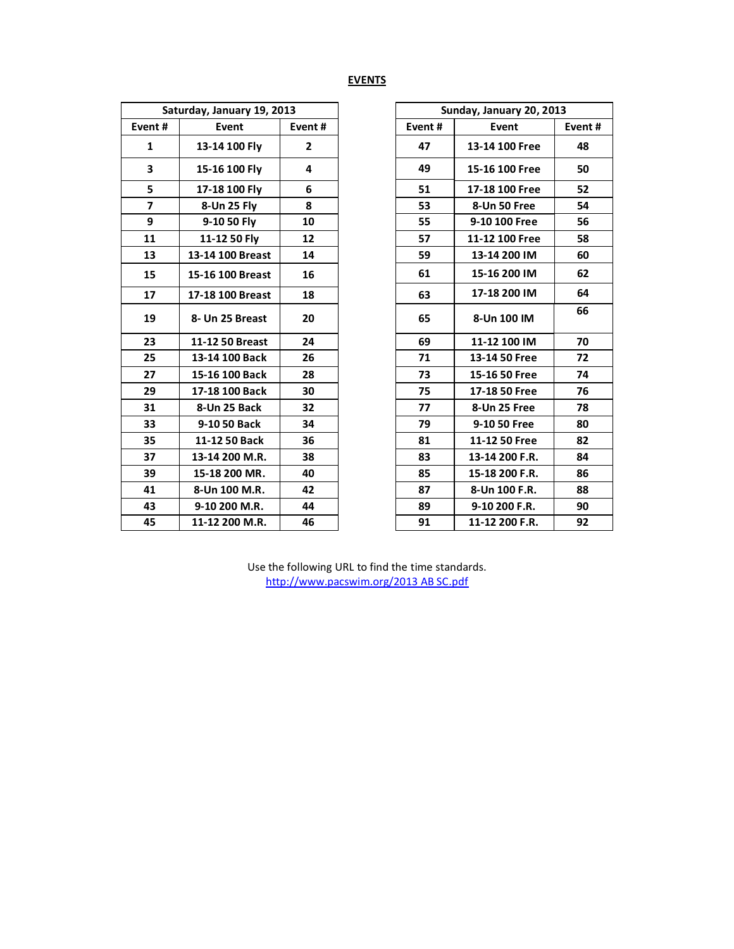# **EVENTS**

| Saturday, January 19, 2013 |                  |        |  |  |  |  |
|----------------------------|------------------|--------|--|--|--|--|
| Event#                     | Event            | Event# |  |  |  |  |
| 1                          | 13-14 100 Fly    | 2      |  |  |  |  |
| 3                          | 15-16 100 Fly    | 4      |  |  |  |  |
| 5                          | 17-18 100 Fly    | 6      |  |  |  |  |
| 7                          | 8-Un 25 Flv      | 8      |  |  |  |  |
| 9                          | 9-10 50 Fly      | 10     |  |  |  |  |
| 11                         | 11-12 50 Fly     | 12     |  |  |  |  |
| 13                         | 13-14 100 Breast | 14     |  |  |  |  |
| 15                         | 15-16 100 Breast | 16     |  |  |  |  |
| 17                         | 17-18 100 Breast | 18     |  |  |  |  |
| 19                         | 8- Un 25 Breast  | 20     |  |  |  |  |
| 23                         | 11-12 50 Breast  | 24     |  |  |  |  |
| 25                         | 13-14 100 Back   | 26     |  |  |  |  |
| 27                         | 15-16 100 Back   | 28     |  |  |  |  |
| 29                         | 17-18 100 Back   | 30     |  |  |  |  |
| 31                         | 8-Un 25 Back     | 32     |  |  |  |  |
| 33                         | 9-10 50 Back     | 34     |  |  |  |  |
| 35                         | 11-12 50 Back    | 36     |  |  |  |  |
| 37                         | 13-14 200 M.R.   | 38     |  |  |  |  |
| 39                         | 15-18 200 MR.    | 40     |  |  |  |  |
| 41                         | 8-Un 100 M.R.    | 42     |  |  |  |  |
| 43                         | 9-10 200 M.R.    | 44     |  |  |  |  |
| 45                         | 11-12 200 M.R.   | 46     |  |  |  |  |
|                            |                  |        |  |  |  |  |

|                          | Saturday, January 19, 2013 |                   |
|--------------------------|----------------------------|-------------------|
| Event#                   | Event                      | Event#            |
| 1                        | 13-14 100 Fly              | $\overline{2}$    |
| 3                        | 15-16 100 Fly              | 4                 |
| 5                        | 17-18 100 Fly              | 6                 |
| $\overline{\phantom{a}}$ | 8-Un 25 Fly                | 8                 |
| 9                        | 9-10 50 Fly                | 10                |
| 11                       | 11-12 50 Fly               | $12 \overline{ }$ |
| 13                       | 13-14 100 Breast           | 14                |
| 15                       | 15-16 100 Breast           | 16                |
| 17                       | 17-18 100 Breast           | 18                |
| 19                       | 8- Un 25 Breast            | 20                |
| 23                       | 11-12 50 Breast            | 24                |
| 25                       | 13-14 100 Back             | 26                |
| 27                       | 15-16 100 Back             | 28                |
| 29                       | 17-18 100 Back             | 30                |
| 31                       | 8-Un 25 Back               | 32                |
| 33                       | 9-10 50 Back               | 34                |
| 35                       | 11-12 50 Back              | 36                |
| 37                       | 13-14 200 M.R.             | 38                |
| 39                       | 15-18 200 MR.              | 40                |
| 41                       | 8-Un 100 M.R.              | 42                |
| 43                       | 9-10 200 M.R.              | 44                |
| 45                       | 11-12 200 M.R.             | 46                |

Use the following URL to find the time standards. [http://www.pacswim.org/2013 AB SC.pdf](http://www.pacswim.org/2013%20AB%20SC.pdf)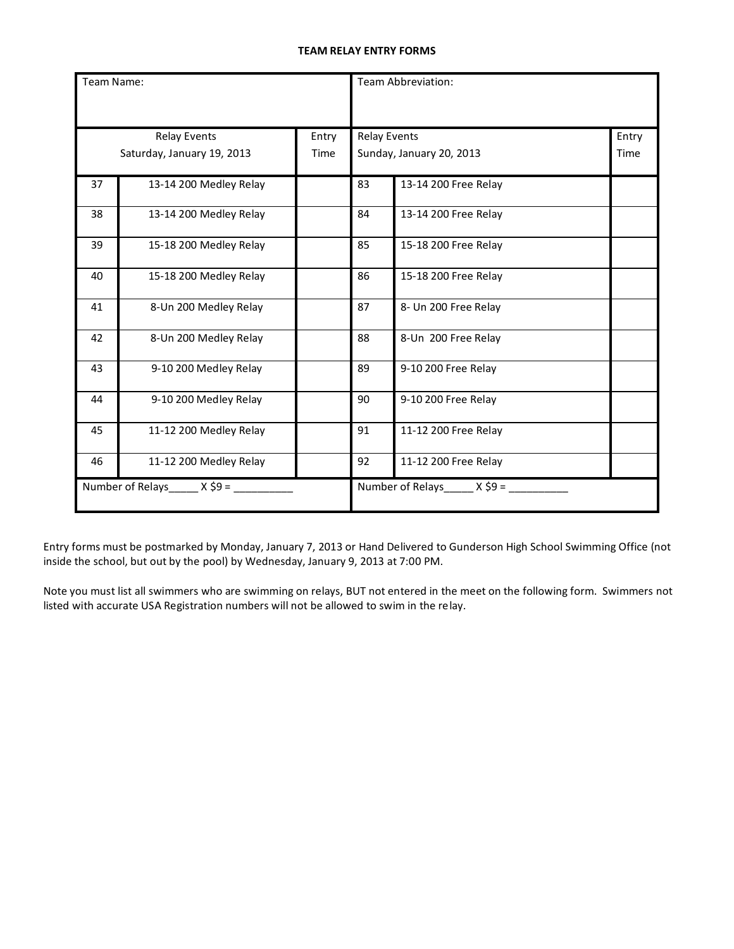#### **TEAM RELAY ENTRY FORMS**

| Team Name: |                            |       |                     | Team Abbreviation:         |       |
|------------|----------------------------|-------|---------------------|----------------------------|-------|
|            |                            |       |                     |                            |       |
|            | <b>Relay Events</b>        | Entry | <b>Relay Events</b> |                            | Entry |
|            | Saturday, January 19, 2013 | Time  |                     | Sunday, January 20, 2013   | Time  |
| 37         | 13-14 200 Medley Relay     |       | 83                  | 13-14 200 Free Relay       |       |
| 38         | 13-14 200 Medley Relay     |       | 84                  | 13-14 200 Free Relay       |       |
| 39         | 15-18 200 Medley Relay     |       | 85                  | 15-18 200 Free Relay       |       |
| 40         | 15-18 200 Medley Relay     |       | 86                  | 15-18 200 Free Relay       |       |
| 41         | 8-Un 200 Medley Relay      |       | 87                  | 8- Un 200 Free Relay       |       |
| 42         | 8-Un 200 Medley Relay      |       | 88                  | 8-Un 200 Free Relay        |       |
| 43         | 9-10 200 Medley Relay      |       | 89                  | 9-10 200 Free Relay        |       |
| 44         | 9-10 200 Medley Relay      |       | 90                  | 9-10 200 Free Relay        |       |
| 45         | 11-12 200 Medley Relay     |       | 91                  | 11-12 200 Free Relay       |       |
| 46         | 11-12 200 Medley Relay     |       | 92                  | 11-12 200 Free Relay       |       |
|            | Number of Relays $X$ \$9 = |       |                     | Number of Relays $X$ \$9 = |       |

Entry forms must be postmarked by Monday, January 7, 2013 or Hand Delivered to Gunderson High School Swimming Office (not inside the school, but out by the pool) by Wednesday, January 9, 2013 at 7:00 PM.

Note you must list all swimmers who are swimming on relays, BUT not entered in the meet on the following form. Swimmers not listed with accurate USA Registration numbers will not be allowed to swim in the relay.